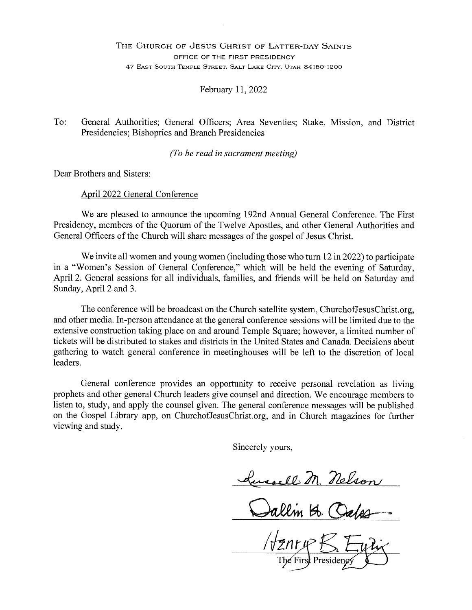#### THE CHURCH OF JESUS CHRIST OF LATTER-DAY SAINTS OFFICE OF THE FIRST PRESIDENCY 47 EAST SOUTH TEMPLE STREET, SALT LAKE CITY, UTAH 84150-1200

February 11, 2022

To: General Authorities; General Officers; Area Seventies; Stake, Mission, and District Presidencies; Bishoprics and Branch Presidencies

(To be read in sacrament meeting)

Dear Brothers and Sisters:

April 2022 General Conference

We are pleased to announce the upcoming 192nd Annual General Conference. The First Presidency, members of the Quorum of the Twelve Apostles, and other General Authorities and General Officers of the Church will share messages of the gospel of Jesus Christ.

We invite all women and young women (including those who turn  $12$  in  $2022$ ) to participate in a "Women's Session of General Conference," which will be held the evening of Saturday, April 2. General sessions for all individuals, families, and friends will be held on Saturday and Sunday, April 2 and 3.

The conference will be broadcast on the Church satellite system, ChurchofJesusChrist.org, and other media. In-person attendance at the general conference sessions will be limited due to the extensive construction taking place on and around Temple Square; however, a limited number of tickets will be distributed to stakes and districts in the United States and Canada. Decisions about gathering to watch general conference in meetinghouses will be left to the discretion of local leaders.

General conference provides an opportunity to receive personal revelation as living prophets and other general Church leaders give counsel and direction. We encourage members to listen to, study, and apply the counsel given. The general conference messages will be published on the Gospel Library app, on ChurchofJesusChrist.org, and in Church magazines for further viewing and study.

Sincerely yours.

masell M. Nelson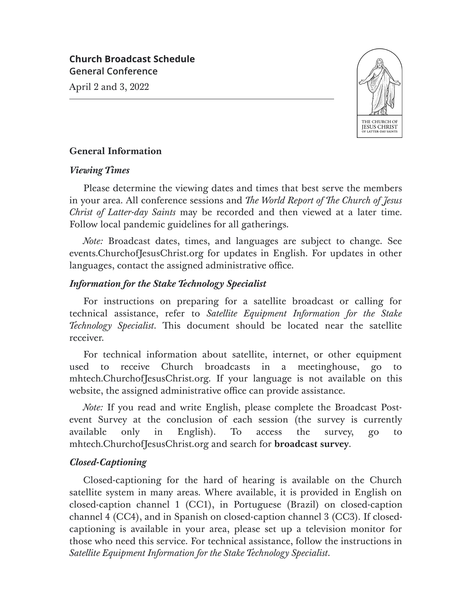April 2 and 3, 2022



## **General Information**

### *Viewing Times*

Please determine the viewing dates and times that best serve the members in your area. All conference sessions and *The World Report of The Church of Jesus Christ of Latter-day Saints* may be recorded and then viewed at a later time. Follow local pandemic guidelines for all gatherings.

*Note:* Broadcast dates, times, and languages are subject to change. See events.ChurchofJesusChrist.org for updates in English. For updates in other languages, contact the assigned administrative office.

## *Information for the Stake Technology Specialist*

For instructions on preparing for a satellite broadcast or calling for technical assistance, refer to *Satellite Equipment Information for the Stake Technology Specialist*. This document should be located near the satellite receiver.

For technical information about satellite, internet, or other equipment used to receive Church broadcasts in a meetinghouse, go to mhtech.ChurchofJesusChrist.org. If your language is not available on this website, the assigned administrative office can provide assistance.

*Note:* If you read and write English, please complete the Broadcast Postevent Survey at the conclusion of each session (the survey is currently available only in English). To access the survey, go to mhtech.ChurchofJesusChrist.org and search for **broadcast survey**.

# *Closed-Captioning*

Closed-captioning for the hard of hearing is available on the Church satellite system in many areas. Where available, it is provided in English on closed-caption channel 1 (CC1), in Portuguese (Brazil) on closed-caption channel 4 (CC4), and in Spanish on closed-caption channel 3 (CC3). If closedcaptioning is available in your area, please set up a television monitor for those who need this service. For technical assistance, follow the instructions in *Satellite Equipment Information for the Stake Technology Specialist*.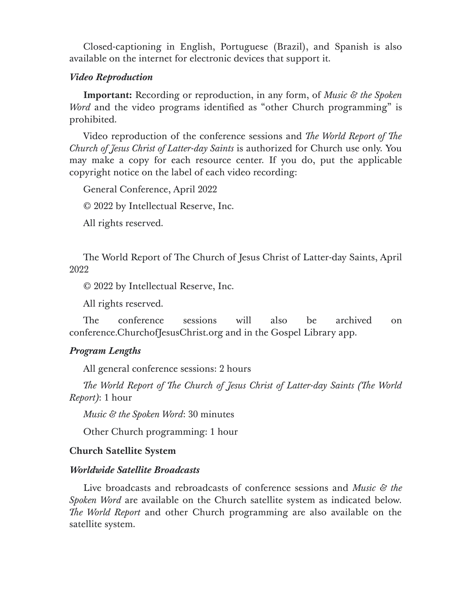Closed-captioning in English, Portuguese (Brazil), and Spanish is also available on the internet for electronic devices that support it.

## *Video Reproduction*

**Important:** Recording or reproduction, in any form, of *Music & the Spoken Word* and the video programs identified as "other Church programming" is prohibited.

Video reproduction of the conference sessions and *The World Report of The Church of Jesus Christ of Latter-day Saints* is authorized for Church use only. You may make a copy for each resource center. If you do, put the applicable copyright notice on the label of each video recording:

General Conference, April 2022

© 2022 by Intellectual Reserve, Inc.

All rights reserved.

The World Report of The Church of Jesus Christ of Latter-day Saints, April 2022

© 2022 by Intellectual Reserve, Inc.

All rights reserved.

The conference sessions will also be archived on conference.ChurchofJesusChrist.org and in the Gospel Library app.

## *Program Lengths*

All general conference sessions: 2 hours

*The World Report of The Church of Jesus Christ of Latter-day Saints (The World Report)*: 1 hour

*Music & the Spoken Word*: 30 minutes

Other Church programming: 1 hour

## **Church Satellite System**

### *Worldwide Satellite Broadcasts*

Live broadcasts and rebroadcasts of conference sessions and *Music & the Spoken Word* are available on the Church satellite system as indicated below. *e World Report* and other Church programming are also available on the satellite system.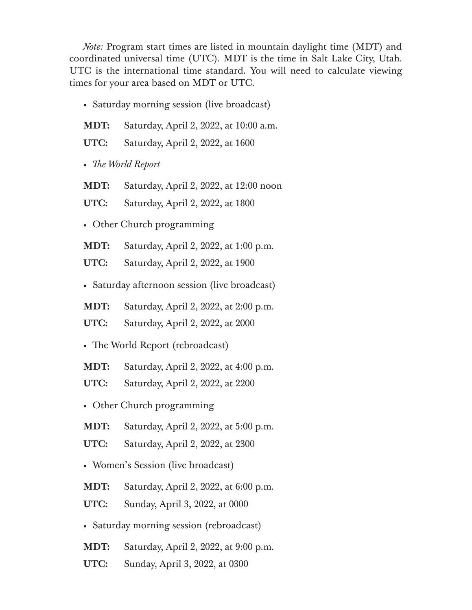*Note:* Program start times are listed in mountain daylight time (MDT) and coordinated universal time (UTC). MDT is the time in Salt Lake City, Utah. UTC is the international time standard. You will need to calculate viewing times for your area based on MDT or UTC.

- Saturday morning session (live broadcast)
- **MDT:** Saturday, April 2, 2022, at 10:00 a.m.
- **UTC:** Saturday, April 2, 2022, at 1600
- *e World Report*
- **MDT:** Saturday, April 2, 2022, at 12:00 noon
- **UTC:** Saturday, April 2, 2022, at 1800
- Other Church programming
- **MDT:** Saturday, April 2, 2022, at 1:00 p.m.
- **UTC:** Saturday, April 2, 2022, at 1900
- Saturday afternoon session (live broadcast)
- **MDT:** Saturday, April 2, 2022, at 2:00 p.m.
- **UTC:** Saturday, April 2, 2022, at 2000
- The World Report (rebroadcast)
- **MDT:** Saturday, April 2, 2022, at 4:00 p.m.
- **UTC:** Saturday, April 2, 2022, at 2200
- Other Church programming
- **MDT:** Saturday, April 2, 2022, at 5:00 p.m.
- **UTC:** Saturday, April 2, 2022, at 2300
- Women's Session (live broadcast)
- **MDT:** Saturday, April 2, 2022, at 6:00 p.m.
- **UTC:** Sunday, April 3, 2022, at 0000
- Saturday morning session (rebroadcast)
- **MDT:** Saturday, April 2, 2022, at 9:00 p.m.
- **UTC:** Sunday, April 3, 2022, at 0300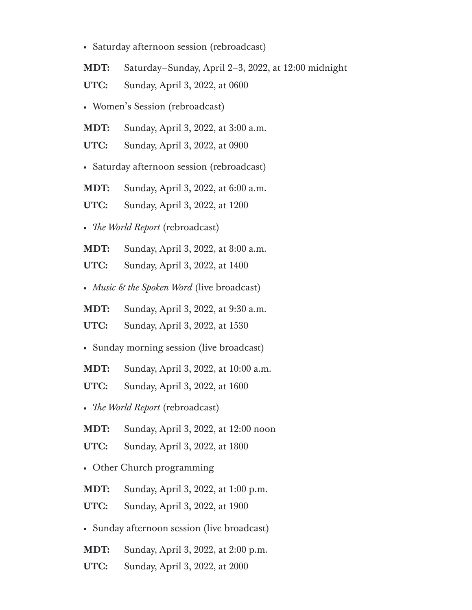• Saturday afternoon session (rebroadcast)

**MDT:** Saturday–Sunday, April 2–3, 2022, at 12:00 midnight

- **UTC:** Sunday, April 3, 2022, at 0600
- Women's Session (rebroadcast)
- **MDT:** Sunday, April 3, 2022, at 3:00 a.m.
- **UTC:** Sunday, April 3, 2022, at 0900
- Saturday afternoon session (rebroadcast)
- **MDT:** Sunday, April 3, 2022, at 6:00 a.m.
- **UTC:** Sunday, April 3, 2022, at 1200
- *e World Report* (rebroadcast)
- **MDT:** Sunday, April 3, 2022, at 8:00 a.m.
- **UTC:** Sunday, April 3, 2022, at 1400
- *Music & the Spoken Word* (live broadcast)
- **MDT:** Sunday, April 3, 2022, at 9:30 a.m.
- **UTC:** Sunday, April 3, 2022, at 1530
- Sunday morning session (live broadcast)
- **MDT:** Sunday, April 3, 2022, at 10:00 a.m.
- **UTC:** Sunday, April 3, 2022, at 1600
- *e World Report* (rebroadcast)
- **MDT:** Sunday, April 3, 2022, at 12:00 noon
- **UTC:** Sunday, April 3, 2022, at 1800
- Other Church programming
- **MDT:** Sunday, April 3, 2022, at 1:00 p.m.
- **UTC:** Sunday, April 3, 2022, at 1900
- Sunday afternoon session (live broadcast)
- **MDT:** Sunday, April 3, 2022, at 2:00 p.m.
- **UTC:** Sunday, April 3, 2022, at 2000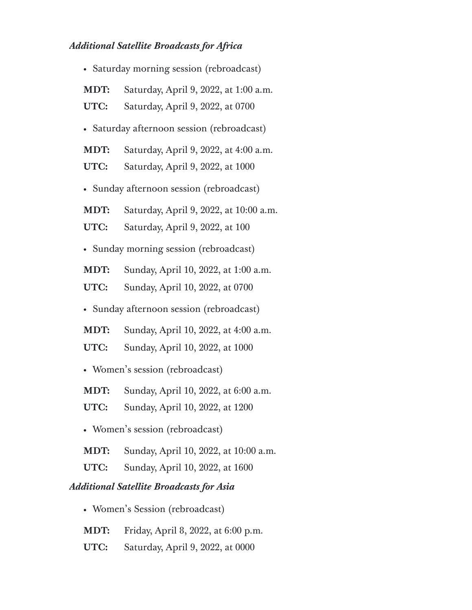# *Additional Satellite Broadcasts for Africa*

| · Saturday morning session (rebroadcast)   |                                             |
|--------------------------------------------|---------------------------------------------|
| <b>MDT:</b>                                | Saturday, April 9, 2022, at 1:00 a.m.       |
| UTC:                                       | Saturday, April 9, 2022, at 0700            |
| · Saturday afternoon session (rebroadcast) |                                             |
| MDT:                                       | Saturday, April 9, 2022, at 4:00 a.m.       |
| UTC:                                       | Saturday, April 9, 2022, at 1000            |
| · Sunday afternoon session (rebroadcast)   |                                             |
| <b>MDT:</b>                                | Saturday, April 9, 2022, at 10:00 a.m.      |
| UTC:                                       | Saturday, April 9, 2022, at 100             |
| · Sunday morning session (rebroadcast)     |                                             |
| MDT:                                       | Sunday, April 10, 2022, at 1:00 a.m.        |
| UTC:                                       | Sunday, April 10, 2022, at 0700             |
| · Sunday afternoon session (rebroadcast)   |                                             |
| <b>MDT:</b>                                | Sunday, April 10, 2022, at 4:00 a.m.        |
| UTC:                                       | Sunday, April 10, 2022, at 1000             |
| · Women's session (rebroadcast)            |                                             |
| MDT:                                       | Sunday, April 10, 2022, at 6:00 a.m.        |
|                                            | <b>UTC:</b> Sunday, April 10, 2022, at 1200 |
| • Women's session (rebroadcast)            |                                             |
| MDT:                                       | Sunday, April 10, 2022, at 10:00 a.m.       |
| UTC:                                       | Sunday, April 10, 2022, at 1600             |

## *Additional Satellite Broadcasts for Asia*

- Women's Session (rebroadcast)
- **MDT:** Friday, April 8, 2022, at 6:00 p.m.
- **UTC:** Saturday, April 9, 2022, at 0000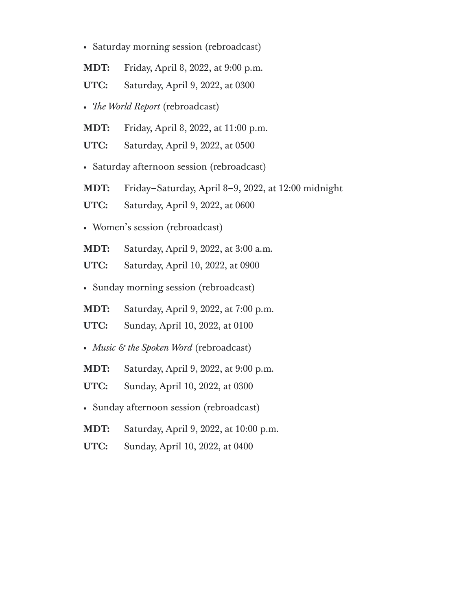• Saturday morning session (rebroadcast)

**MDT:** Friday, April 8, 2022, at 9:00 p.m.

- **UTC:** Saturday, April 9, 2022, at 0300
- *e World Report* (rebroadcast)
- **MDT:** Friday, April 8, 2022, at 11:00 p.m.
- **UTC:** Saturday, April 9, 2022, at 0500
- Saturday afternoon session (rebroadcast)
- **MDT:** Friday–Saturday, April 8–9, 2022, at 12:00 midnight
- **UTC:** Saturday, April 9, 2022, at 0600
- Women's session (rebroadcast)
- **MDT:** Saturday, April 9, 2022, at 3:00 a.m.
- **UTC:** Saturday, April 10, 2022, at 0900
- Sunday morning session (rebroadcast)
- **MDT:** Saturday, April 9, 2022, at 7:00 p.m.
- **UTC:** Sunday, April 10, 2022, at 0100
- *Music & the Spoken Word* (rebroadcast)
- **MDT:** Saturday, April 9, 2022, at 9:00 p.m.
- **UTC:** Sunday, April 10, 2022, at 0300
- Sunday afternoon session (rebroadcast)
- **MDT:** Saturday, April 9, 2022, at 10:00 p.m.
- **UTC:** Sunday, April 10, 2022, at 0400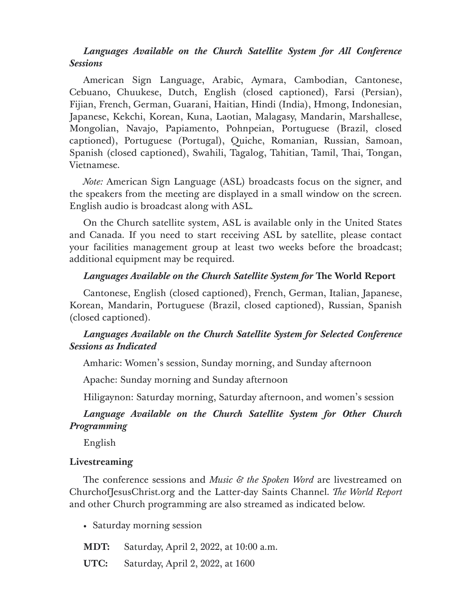## *Languages Available on the Church Satellite System for All Conference Sessions*

American Sign Language, Arabic, Aymara, Cambodian, Cantonese, Cebuano, Chuukese, Dutch, English (closed captioned), Farsi (Persian), Fijian, French, German, Guarani, Haitian, Hindi (India), Hmong, Indonesian, Japanese, Kekchi, Korean, Kuna, Laotian, Malagasy, Mandarin, Marshallese, Mongolian, Navajo, Papiamento, Pohnpeian, Portuguese (Brazil, closed captioned), Portuguese (Portugal), Quiche, Romanian, Russian, Samoan, Spanish (closed captioned), Swahili, Tagalog, Tahitian, Tamil, Thai, Tongan, Vietnamese.

*Note:* American Sign Language (ASL) broadcasts focus on the signer, and the speakers from the meeting are displayed in a small window on the screen. English audio is broadcast along with ASL.

On the Church satellite system, ASL is available only in the United States and Canada. If you need to start receiving ASL by satellite, please contact your facilities management group at least two weeks before the broadcast; additional equipment may be required.

#### *Languages Available on the Church Satellite System for The World Report*

Cantonese, English (closed captioned), French, German, Italian, Japanese, Korean, Mandarin, Portuguese (Brazil, closed captioned), Russian, Spanish (closed captioned).

### *Languages Available on the Church Satellite System for Selected Conference Sessions as Indicated*

Amharic: Women's session, Sunday morning, and Sunday afternoon

Apache: Sunday morning and Sunday afternoon

Hiligaynon: Saturday morning, Saturday afternoon, and women's session

### *Language Available on the Church Satellite System for Other Church Programming*

English

#### **Livestreaming**

e conference sessions and *Music & the Spoken Word* are livestreamed on ChurchofJesusChrist.org and the Latter-day Saints Channel. *The World Report* and other Church programming are also streamed as indicated below.

• Saturday morning session

**MDT:** Saturday, April 2, 2022, at 10:00 a.m.

**UTC:** Saturday, April 2, 2022, at 1600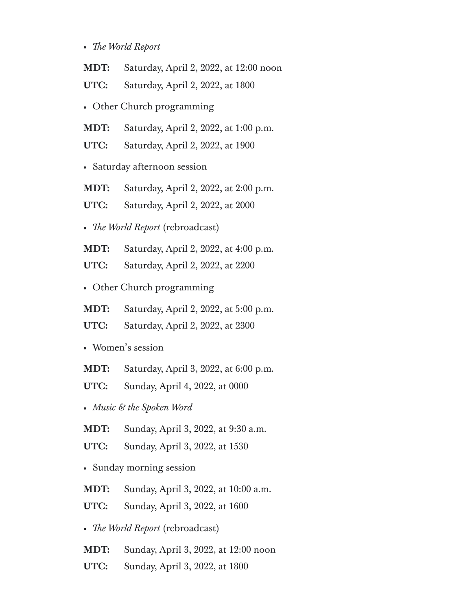- *e World Report*
- **MDT:** Saturday, April 2, 2022, at 12:00 noon
- **UTC:** Saturday, April 2, 2022, at 1800
- Other Church programming
- **MDT:** Saturday, April 2, 2022, at 1:00 p.m.
- **UTC:** Saturday, April 2, 2022, at 1900
- Saturday afternoon session
- **MDT:** Saturday, April 2, 2022, at 2:00 p.m.
- **UTC:** Saturday, April 2, 2022, at 2000
- *e World Report* (rebroadcast)
- **MDT:** Saturday, April 2, 2022, at 4:00 p.m.
- **UTC:** Saturday, April 2, 2022, at 2200
- Other Church programming
- **MDT:** Saturday, April 2, 2022, at 5:00 p.m.
- **UTC:** Saturday, April 2, 2022, at 2300
- Women's session
- **MDT:** Saturday, April 3, 2022, at 6:00 p.m.
- **UTC:** Sunday, April 4, 2022, at 0000
- *Music & the Spoken Word*
- **MDT:** Sunday, April 3, 2022, at 9:30 a.m.
- **UTC:** Sunday, April 3, 2022, at 1530
- Sunday morning session
- **MDT:** Sunday, April 3, 2022, at 10:00 a.m.
- **UTC:** Sunday, April 3, 2022, at 1600
- *e World Report* (rebroadcast)
- **MDT:** Sunday, April 3, 2022, at 12:00 noon
- **UTC:** Sunday, April 3, 2022, at 1800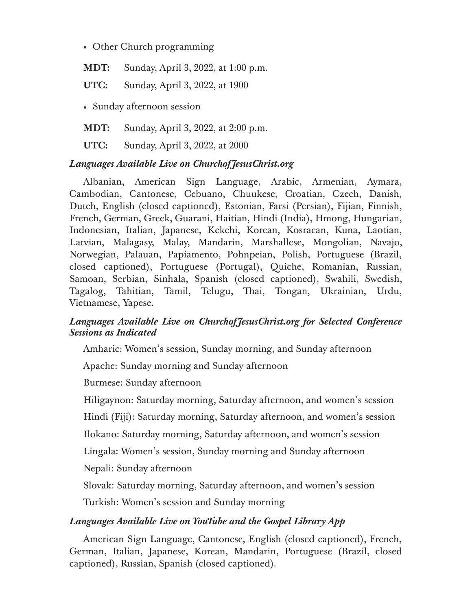Other Church programming

**MDT:** Sunday, April 3, 2022, at 1:00 p.m.

**UTC:** Sunday, April 3, 2022, at 1900

Sunday afternoon session

**MDT:** Sunday, April 3, 2022, at 2:00 p.m.

**UTC:** Sunday, April 3, 2022, at 2000

### *Languages Available Live on ChurchofJesusChrist.org*

Albanian, American Sign Language, Arabic, Armenian, Aymara, Cambodian, Cantonese, Cebuano, Chuukese, Croatian, Czech, Danish, Dutch, English (closed captioned), Estonian, Farsi (Persian), Fijian, Finnish, French, German, Greek, Guarani, Haitian, Hindi (India), Hmong, Hungarian, Indonesian, Italian, Japanese, Kekchi, Korean, Kosraean, Kuna, Laotian, Latvian, Malagasy, Malay, Mandarin, Marshallese, Mongolian, Navajo, Norwegian, Palauan, Papiamento, Pohnpeian, Polish, Portuguese (Brazil, closed captioned), Portuguese (Portugal), Quiche, Romanian, Russian, Samoan, Serbian, Sinhala, Spanish (closed captioned), Swahili, Swedish, Tagalog, Tahitian, Tamil, Telugu, Thai, Tongan, Ukrainian, Urdu, Vietnamese, Yapese.

## *Languages Available Live on ChurchofJesusChrist.org for Selected Conference Sessions as Indicated*

Amharic: Women's session, Sunday morning, and Sunday afternoon

Apache: Sunday morning and Sunday afternoon

Burmese: Sunday afternoon

Hiligaynon: Saturday morning, Saturday afternoon, and women's session

Hindi (Fiji): Saturday morning, Saturday afternoon, and women's session

Ilokano: Saturday morning, Saturday afternoon, and women's session

Lingala: Women's session, Sunday morning and Sunday afternoon

Nepali: Sunday afternoon

Slovak: Saturday morning, Saturday afternoon, and women's session

Turkish: Women's session and Sunday morning

## *Languages Available Live on YouTube and the Gospel Library App*

American Sign Language, Cantonese, English (closed captioned), French, German, Italian, Japanese, Korean, Mandarin, Portuguese (Brazil, closed captioned), Russian, Spanish (closed captioned).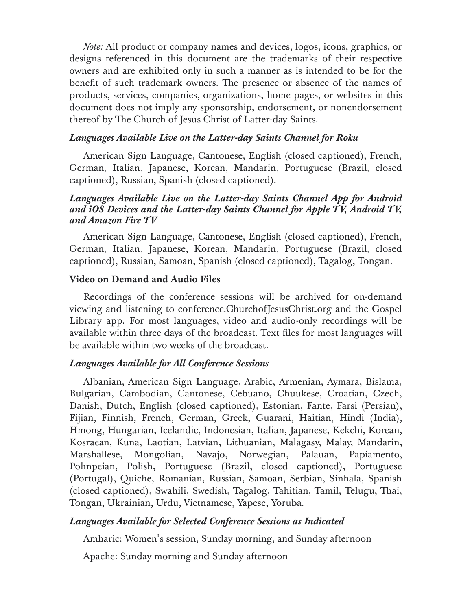*Note:* All product or company names and devices, logos, icons, graphics, or designs referenced in this document are the trademarks of their respective owners and are exhibited only in such a manner as is intended to be for the benefit of such trademark owners. The presence or absence of the names of products, services, companies, organizations, home pages, or websites in this document does not imply any sponsorship, endorsement, or nonendorsement thereof by The Church of Jesus Christ of Latter-day Saints.

### *Languages Available Live on the Latter-day Saints Channel for Roku*

American Sign Language, Cantonese, English (closed captioned), French, German, Italian, Japanese, Korean, Mandarin, Portuguese (Brazil, closed captioned), Russian, Spanish (closed captioned).

## *Languages Available Live on the Latter-day Saints Channel App for Android and iOS Devices and the Latter-day Saints Channel for Apple TV, Android TV, and Amazon Fire TV*

American Sign Language, Cantonese, English (closed captioned), French, German, Italian, Japanese, Korean, Mandarin, Portuguese (Brazil, closed captioned), Russian, Samoan, Spanish (closed captioned), Tagalog, Tongan.

### **Video on Demand and Audio Files**

Recordings of the conference sessions will be archived for on-demand viewing and listening to conference.ChurchofJesusChrist.org and the Gospel Library app. For most languages, video and audio-only recordings will be available within three days of the broadcast. Text files for most languages will be available within two weeks of the broadcast.

### *Languages Available for All Conference Sessions*

Albanian, American Sign Language, Arabic, Armenian, Aymara, Bislama, Bulgarian, Cambodian, Cantonese, Cebuano, Chuukese, Croatian, Czech, Danish, Dutch, English (closed captioned), Estonian, Fante, Farsi (Persian), Fijian, Finnish, French, German, Greek, Guarani, Haitian, Hindi (India), Hmong, Hungarian, Icelandic, Indonesian, Italian, Japanese, Kekchi, Korean, Kosraean, Kuna, Laotian, Latvian, Lithuanian, Malagasy, Malay, Mandarin, Marshallese, Mongolian, Navajo, Norwegian, Palauan, Papiamento, Pohnpeian, Polish, Portuguese (Brazil, closed captioned), Portuguese (Portugal), Quiche, Romanian, Russian, Samoan, Serbian, Sinhala, Spanish (closed captioned), Swahili, Swedish, Tagalog, Tahitian, Tamil, Telugu, Thai, Tongan, Ukrainian, Urdu, Vietnamese, Yapese, Yoruba.

### *Languages Available for Selected Conference Sessions as Indicated*

Amharic: Women's session, Sunday morning, and Sunday afternoon

Apache: Sunday morning and Sunday afternoon